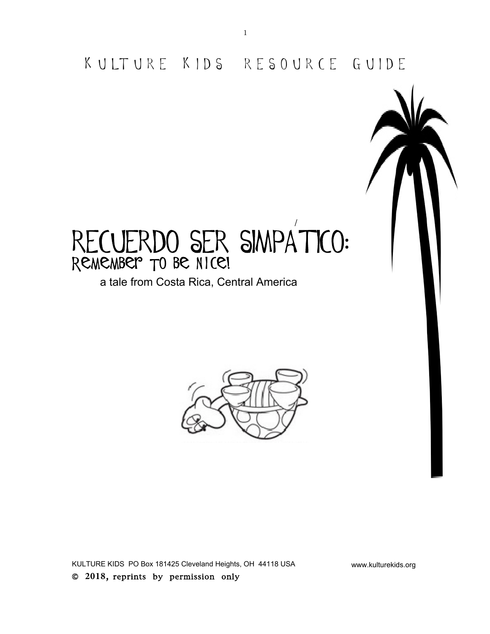K U LT U R E K I D S R E S O U R C E G U I D E

/

# RECUERDO SER SIMPATICO: REMEMBER TO BE NICE!

a tale from Costa Rica, Central America



KULTURE KIDS PO Box 181425 Cleveland Heights, OH 44118 USA www.kulturekids.org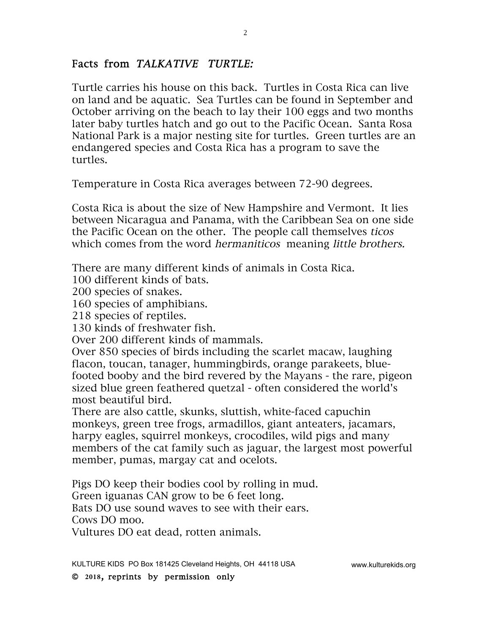#### Facts from TALKATIVE TURTLE:

Turtle carries his house on this back. Turtles in Costa Rica can live on land and be aquatic. Sea Turtles can be found in September and October arriving on the beach to lay their 100 eggs and two months later baby turtles hatch and go out to the Pacific Ocean. Santa Rosa National Park is a major nesting site for turtles. Green turtles are an endangered species and Costa Rica has a program to save the turtles.

Temperature in Costa Rica averages between 72-90 degrees.

Costa Rica is about the size of New Hampshire and Vermont. It lies between Nicaragua and Panama, with the Caribbean Sea on one side the Pacific Ocean on the other. The people call themselves ticos which comes from the word *hermaniticos* meaning *little brothers*.

There are many different kinds of animals in Costa Rica.

100 different kinds of bats.

200 species of snakes.

160 species of amphibians.

218 species of reptiles.

130 kinds of freshwater fish.

Over 200 different kinds of mammals.

Over 850 species of birds including the scarlet macaw, laughing flacon, toucan, tanager, hummingbirds, orange parakeets, bluefooted booby and the bird revered by the Mayans - the rare, pigeon sized blue green feathered quetzal - often considered the world's most beautiful bird.

There are also cattle, skunks, sluttish, white-faced capuchin monkeys, green tree frogs, armadillos, giant anteaters, jacamars, harpy eagles, squirrel monkeys, crocodiles, wild pigs and many members of the cat family such as jaguar, the largest most powerful member, pumas, margay cat and ocelots.

Pigs DO keep their bodies cool by rolling in mud. Green iguanas CAN grow to be 6 feet long. Bats DO use sound waves to see with their ears. Cows DO moo.

Vultures DO eat dead, rotten animals.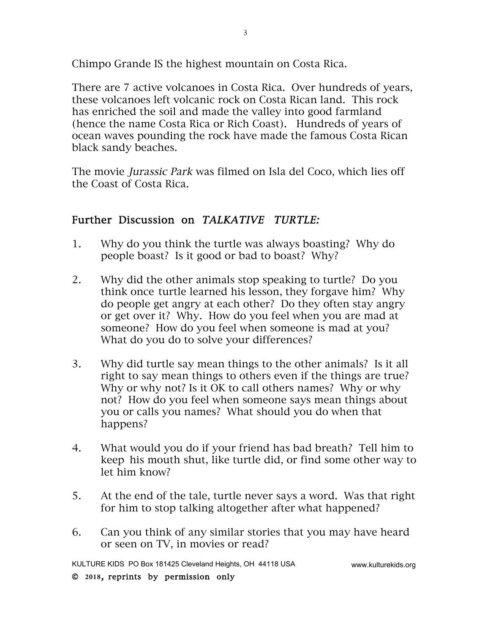Chimpo Grande IS the highest mountain on Costa Rica.

There are 7 active volcanoes in Costa Rica. Over hundreds of years, these volcanoes left volcanic rock on Costa Rican land. This rock has enriched the soil and made the valley into good farmland (hence the name Costa Rica or Rich Coast). Hundreds of years of ocean waves pounding the rock have made the famous Costa Rican black sandy beaches.

The movie Jurassic Park was filmed on Isla del Coco, which lies off the Coast of Costa Rica.

## Further Discussion on TALKATIVE TURTLE:

- 1. Why do you think the turtle was always boasting? Why do people boast? Is it good or bad to boast? Why?
- 2. Why did the other animals stop speaking to turtle? Do you think once turtle learned his lesson, they forgave him? Why do people get angry at each other? Do they often stay angry or get over it? Why. How do you feel when you are mad at someone? How do you feel when someone is mad at you? What do you do to solve your differences?
- 3. Why did turtle say mean things to the other animals? Is it all right to say mean things to others even if the things are true? Why or why not? Is it OK to call others names? Why or why not? How do you feel when someone says mean things about you or calls you names? What should you do when that happens?
- 4. What would you do if your friend has bad breath? Tell him to keep his mouth shut, like turtle did, or find some other way to let him know?
- 5. At the end of the tale, turtle never says a word. Was that right for him to stop talking altogether after what happened?
- 6. Can you think of any similar stories that you may have heard or seen on TV, in movies or read?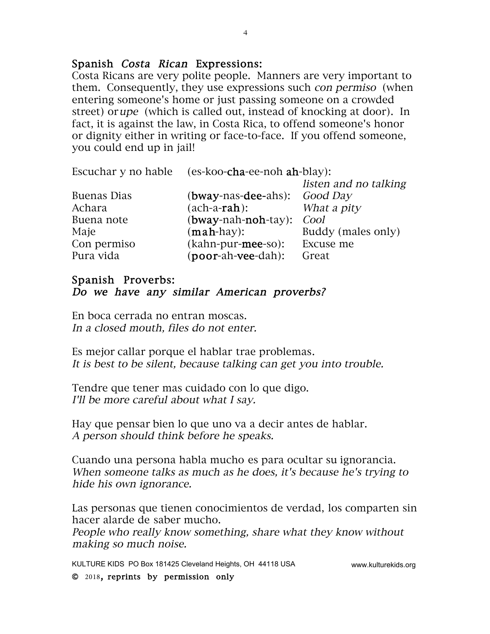#### Spanish Costa Rican Expressions:

Costa Ricans are very polite people. Manners are very important to them. Consequently, they use expressions such con permiso (when entering someone's home or just passing someone on a crowded street) orupe (which is called out, instead of knocking at door). In fact, it is against the law, in Costa Rica, to offend someone's honor or dignity either in writing or face-to-face. If you offend someone, you could end up in jail!

|             | Escuchar y no hable (es-koo-cha-ee-noh ah-blay): |                       |
|-------------|--------------------------------------------------|-----------------------|
|             |                                                  | listen and no talking |
| Buenas Dias | (bway-nas-dee-ahs): Good Day                     |                       |
| Achara      | $(ach-a-rah):$                                   | What a pity           |
| Buena note  | $(bway-nah-noh-tay)$ :                           | Cool                  |
| Maje        | $(\text{mah-hay})$ :                             | Buddy (males only)    |
| Con permiso | (kahn-pur-mee-so):                               | Excuse me             |
| Pura vida   | (poor-ah-vee-dah):                               | Great                 |

#### Spanish Proverbs: Do we have any similar American proverbs?

En boca cerrada no entran moscas. In a closed mouth, files do not enter.

Es mejor callar porque el hablar trae problemas. It is best to be silent, because talking can get you into trouble.

Tendre que tener mas cuidado con lo que digo. I'll be more careful about what I say.

Hay que pensar bien lo que uno va a decir antes de hablar. A person should think before he speaks.

Cuando una persona habla mucho es para ocultar su ignorancia. When someone talks as much as he does, it's because he's trying to hide his own ignorance.

Las personas que tienen conocimientos de verdad, los comparten sin hacer alarde de saber mucho.

People who really know something, share what they know without making so much noise.

KULTURE KIDS PO Box 181425 Cleveland Heights, OH 44118 USA www.kulturekids.org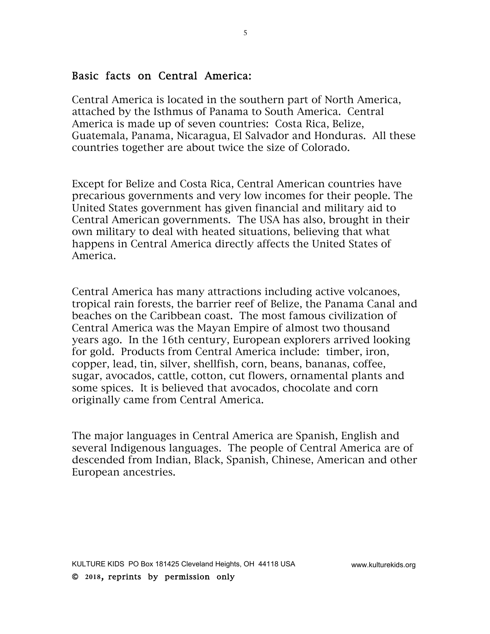#### Basic facts on Central America:

Central America is located in the southern part of North America, attached by the Isthmus of Panama to South America. Central America is made up of seven countries: Costa Rica, Belize, Guatemala, Panama, Nicaragua, El Salvador and Honduras. All these countries together are about twice the size of Colorado.

5

Except for Belize and Costa Rica, Central American countries have precarious governments and very low incomes for their people. The United States government has given financial and military aid to Central American governments. The USA has also, brought in their own military to deal with heated situations, believing that what happens in Central America directly affects the United States of America.

Central America has many attractions including active volcanoes, tropical rain forests, the barrier reef of Belize, the Panama Canal and beaches on the Caribbean coast. The most famous civilization of Central America was the Mayan Empire of almost two thousand years ago. In the 16th century, European explorers arrived looking for gold. Products from Central America include: timber, iron, copper, lead, tin, silver, shellfish, corn, beans, bananas, coffee, sugar, avocados, cattle, cotton, cut flowers, ornamental plants and some spices. It is believed that avocados, chocolate and corn originally came from Central America.

The major languages in Central America are Spanish, English and several Indigenous languages. The people of Central America are of descended from Indian, Black, Spanish, Chinese, American and other European ancestries.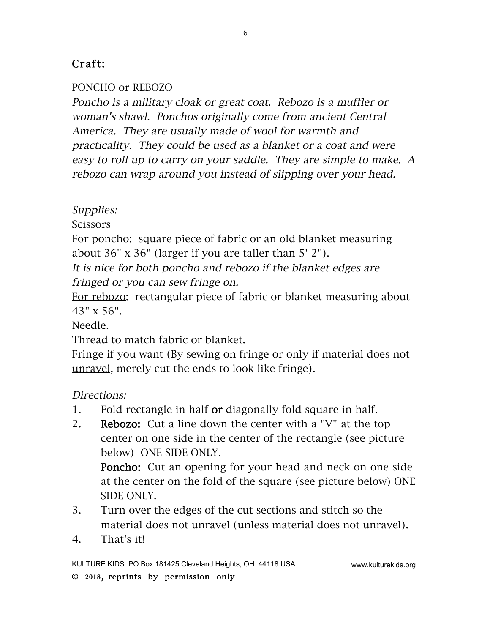# Craft:

## PONCHO or REBOZO

Poncho is a military cloak or great coat. Rebozo is a muffler or woman's shawl. Ponchos originally come from ancient Central America. They are usually made of wool for warmth and practicality. They could be used as a blanket or a coat and were easy to roll up to carry on your saddle. They are simple to make. A rebozo can wrap around you instead of slipping over your head.

6

Supplies:

**Scissors** 

For poncho: square piece of fabric or an old blanket measuring about  $36"$  x  $36"$  (larger if you are taller than  $5'$  2").

It is nice for both poncho and rebozo if the blanket edges are fringed or you can sew fringe on.

For rebozo: rectangular piece of fabric or blanket measuring about 43" x 56".

Needle.

Thread to match fabric or blanket.

Fringe if you want (By sewing on fringe or only if material does not unravel, merely cut the ends to look like fringe).

Directions:

- 1. Fold rectangle in half or diagonally fold square in half.
- 2. Rebozo: Cut a line down the center with a "V" at the top center on one side in the center of the rectangle (see picture below) ONE SIDE ONLY.

Poncho: Cut an opening for your head and neck on one side at the center on the fold of the square (see picture below) ONE SIDE ONLY.

- 3. Turn over the edges of the cut sections and stitch so the material does not unravel (unless material does not unravel).
- 4. That's it!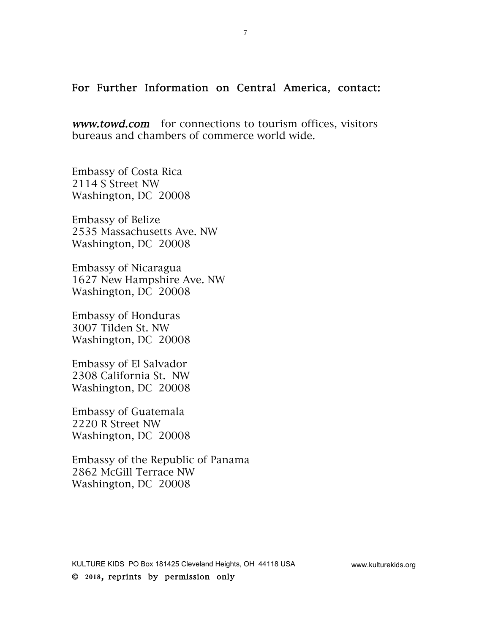#### For Further Information on Central America, contact:

www.towd.com for connections to tourism offices, visitors bureaus and chambers of commerce world wide.

Embassy of Costa Rica 2114 S Street NW Washington, DC 20008

Embassy of Belize 2535 Massachusetts Ave. NW Washington, DC 20008

Embassy of Nicaragua 1627 New Hampshire Ave. NW Washington, DC 20008

Embassy of Honduras 3007 Tilden St. NW Washington, DC 20008

Embassy of El Salvador 2308 California St. NW Washington, DC 20008

Embassy of Guatemala 2220 R Street NW Washington, DC 20008

Embassy of the Republic of Panama 2862 McGill Terrace NW Washington, DC 20008